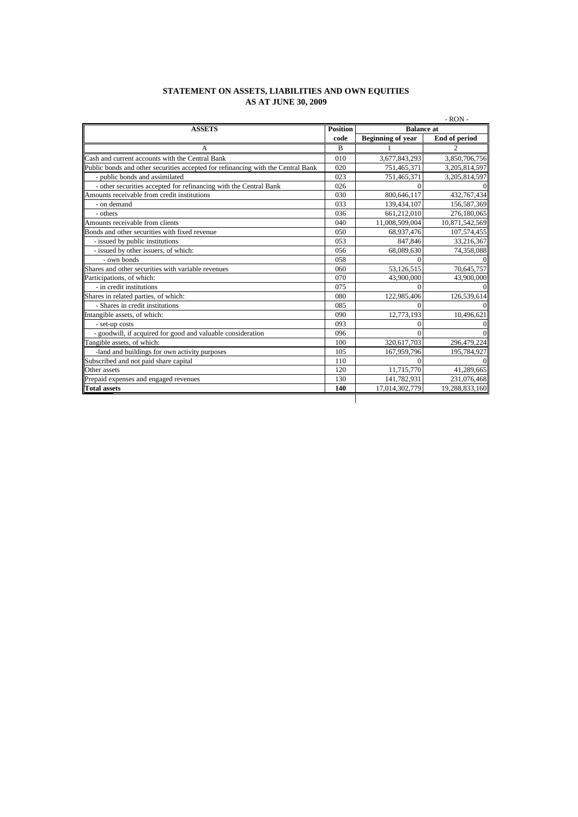## **STATEMENT ON ASSETS, LIABILITIES AND OWN EQUITIES AS AT JUNE 30, 2009**

| <b>ASSETS</b>                                                                    | $-$ RON $-$<br><b>Position</b><br><b>Balance at</b> |                                           |                |
|----------------------------------------------------------------------------------|-----------------------------------------------------|-------------------------------------------|----------------|
|                                                                                  | code                                                | <b>Beginning of year</b><br>End of period |                |
| A                                                                                | B                                                   |                                           | 2              |
| Cash and current accounts with the Central Bank                                  | 010                                                 | 3,677,843,293                             | 3,850,706,756  |
| Public bonds and other securities accepted for refinancing with the Central Bank | 020                                                 | 751,465,371                               | 3,205,814,597  |
| - public bonds and assimilated                                                   | 023                                                 | 751,465,371                               | 3,205,814,597  |
| - other securities accepted for refinancing with the Central Bank                | 026                                                 | $\Omega$                                  | $\Omega$       |
| Amounts receivable from credit institutions                                      | 030                                                 | 800,646,117                               | 432,767,434    |
| - on demand                                                                      | 033                                                 | 139,434,107                               | 156,587,369    |
| - others                                                                         | 036                                                 | 661.212.010                               | 276.180.065    |
| Amounts receivable from clients                                                  | 040                                                 | 11,008,509,004                            | 10,871,542,569 |
| Bonds and other securities with fixed revenue                                    | 050                                                 | 68,937,476                                | 107,574,455    |
| - issued by public institutions                                                  | 053                                                 | 847,846                                   | 33,216,367     |
| - issued by other issuers, of which:                                             | 056                                                 | 68,089,630                                | 74,358,088     |
| - own bonds                                                                      | 058                                                 | $\theta$                                  | $\Omega$       |
| Shares and other securities with variable revenues                               | 060                                                 | 53,126,515                                | 70,645,757     |
| Participations, of which:                                                        | 070                                                 | 43,900,000                                | 43,900,000     |
| - in credit institutions                                                         | 075                                                 | $\Omega$                                  | $\Omega$       |
| Shares in related parties, of which:                                             | 080                                                 | 122,985,406                               | 126,539,614    |
| - Shares in credit institutions                                                  | 085                                                 | $\Omega$                                  | $\Omega$       |
| Intangible assets, of which:                                                     | 090                                                 | 12,773,193                                | 10,496,621     |
| - set-up costs                                                                   | 093                                                 | $\mathbf{0}$                              | $\overline{0}$ |
| - goodwill, if acquired for good and valuable consideration                      | 096                                                 | $\Omega$                                  | $\Omega$       |
| Tangible assets, of which:                                                       | 100                                                 | 320,617,703                               | 296,479,224    |
| -land and buildings for own activity purposes                                    | 105                                                 | 167,959,796                               | 195,784,927    |
| Subscribed and not paid share capital                                            | 110                                                 | $\Omega$                                  | $\Omega$       |
| Other assets                                                                     | 120                                                 | 11,715,770                                | 41,289,665     |
| Prepaid expenses and engaged revenues                                            | 130                                                 | 141,782,931                               | 231,076,468    |
| <b>Total assets</b>                                                              | 140                                                 | 17,014,302,779                            | 19,288,833,160 |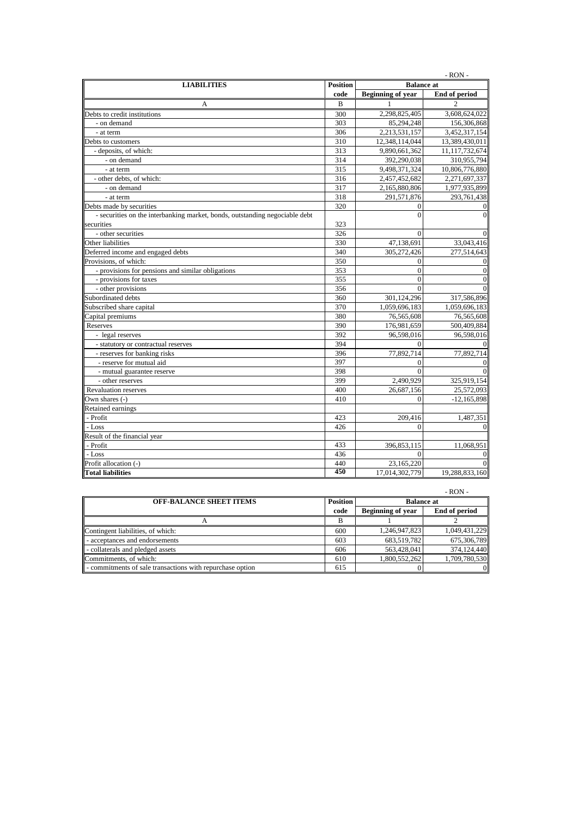| $-RON -$                                                                    |                 |                          |                  |  |
|-----------------------------------------------------------------------------|-----------------|--------------------------|------------------|--|
| <b>LIABILITIES</b>                                                          | <b>Position</b> | <b>Balance</b> at        |                  |  |
|                                                                             | code            | <b>Beginning of year</b> | End of period    |  |
| А                                                                           | B               | 1                        |                  |  |
| Debts to credit institutions                                                | 300             | 2,298,825,405            | 3,608,624,022    |  |
| - on demand                                                                 | 303             | 85,294,248               | 156,306,868      |  |
| - at term                                                                   | 306             | 2,213,531,157            | 3,452,317,154    |  |
| Debts to customers                                                          | 310             | 12,348,114,044           | 13,389,430,011   |  |
| - deposits, of which:                                                       | 313             | 9,890,661,362            | 11,117,732,674   |  |
| - on demand                                                                 | 314             | 392,290,038              | 310,955,794      |  |
| - at term                                                                   | 315             | 9,498,371,324            | 10,806,776,880   |  |
| - other debts, of which:                                                    | 316             | 2,457,452,682            | 2,271,697,337    |  |
| - on demand                                                                 | 317             | 2,165,880,806            | 1,977,935,899    |  |
| - at term                                                                   | 318             | 291,571,876              | 293,761,438      |  |
| Debts made by securities                                                    | 320             | $\Omega$                 | $\mathbf{0}$     |  |
| - securities on the interbanking market, bonds, outstanding negociable debt |                 | $\Omega$                 | $\overline{0}$   |  |
| securities                                                                  | 323             |                          |                  |  |
| - other securities                                                          | 326             | $\Omega$                 | $\mathbf{0}$     |  |
| Other liabilities                                                           | 330             | 47,138,691               | 33,043,416       |  |
| Deferred income and engaged debts                                           | 340             | 305,272,426              | 277,514,643      |  |
| Provisions, of which:                                                       | 350             | $\mathbf{0}$             | $\boldsymbol{0}$ |  |
| - provisions for pensions and similar obligations                           | 353             | $\overline{0}$           | $\boldsymbol{0}$ |  |
| - provisions for taxes                                                      | 355             | $\theta$                 | $\overline{0}$   |  |
| - other provisions                                                          | 356             | $\Omega$                 | $\theta$         |  |
| Subordinated debts                                                          | 360             | 301,124,296              | 317,586,896      |  |
| Subscribed share capital                                                    | 370             | 1,059,696,183            | 1,059,696,183    |  |
| Capital premiums                                                            | 380             | 76,565,608               | 76,565,608       |  |
| Reserves                                                                    | 390             | 176,981,659              | 500,409,884      |  |
| - legal reserves                                                            | 392             | 96,598,016               | 96,598,016       |  |
| - statutory or contractual reserves                                         | 394             | $\Omega$                 | $\theta$         |  |
| - reserves for banking risks                                                | 396             | 77,892,714               | 77,892,714       |  |
| - reserve for mutual aid                                                    | 397             | $\Omega$                 | $\mathbf{0}$     |  |
| - mutual guarantee reserve                                                  | 398             | $\Omega$                 | $\Omega$         |  |
| - other reserves                                                            | 399             | 2,490,929                | 325,919,154      |  |
| <b>Revaluation reserves</b>                                                 | 400             | 26,687,156               | 25,572,093       |  |
| Own shares (-)                                                              | 410             | $\Omega$                 | $-12,165,898$    |  |
| <b>Retained earnings</b>                                                    |                 |                          |                  |  |
| - Profit                                                                    | 423             | 209,416                  | 1,487,351        |  |
| - Loss                                                                      | 426             | $\theta$                 | $\overline{0}$   |  |
| Result of the financial year                                                |                 |                          |                  |  |
| - Profit                                                                    | 433             | 396,853,115              | 11,068,951       |  |
| - Loss                                                                      | 436             | $\Omega$                 | $\mathbf{0}$     |  |
| Profit allocation (-)                                                       | 440             | 23,165,220               | $\overline{0}$   |  |
| <b>Total liabilities</b>                                                    | 450             | 17,014,302,779           | 19,288,833,160   |  |

|                                                           |                 |                          | $-$ RON $-$   |
|-----------------------------------------------------------|-----------------|--------------------------|---------------|
| <b>OFF-BALANCE SHEET ITEMS</b>                            | <b>Position</b> | <b>Balance at</b>        |               |
|                                                           | code            | <b>Beginning of year</b> | End of period |
|                                                           | в               |                          |               |
| Contingent liabilities, of which:                         | 600             | 1,246,947,823            | 1,049,431,229 |
| - acceptances and endorsements                            | 603             | 683,519,782              | 675,306,789   |
| - collaterals and pledged assets                          | 606             | 563,428,041              | 374,124,440   |
| Commitments, of which:                                    | 610             | 1.800.552.262            | 1,709,780,530 |
| - commitments of sale transactions with repurchase option | 615             |                          |               |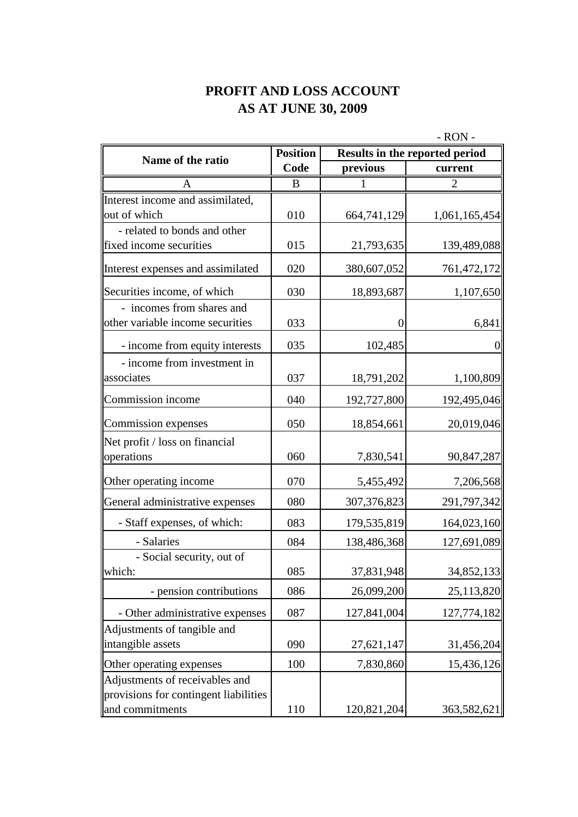## **PROFIT AND LOSS ACCOUNT AS AT JUNE 30, 2009**

|                                       | - RON -         |               |                                |
|---------------------------------------|-----------------|---------------|--------------------------------|
| Name of the ratio                     | <b>Position</b> |               | Results in the reported period |
|                                       | Code            | previous      | current                        |
| A                                     | B               | 1             | $\overline{2}$                 |
| Interest income and assimilated,      |                 |               |                                |
| out of which                          | 010             | 664,741,129   | 1,061,165,454                  |
| - related to bonds and other          |                 |               |                                |
| fixed income securities               | 015             | 21,793,635    | 139,489,088                    |
| Interest expenses and assimilated     | 020             | 380,607,052   | 761,472,172                    |
| Securities income, of which           | 030             | 18,893,687    | 1,107,650                      |
| - incomes from shares and             |                 |               |                                |
| other variable income securities      | 033             | 0             | 6,841                          |
| - income from equity interests        | 035             | 102,485       | 0                              |
| - income from investment in           |                 |               |                                |
| associates                            | 037             | 18,791,202    | 1,100,809                      |
| Commission income                     | 040             | 192,727,800   | 192,495,046                    |
| Commission expenses                   | 050             | 18,854,661    | 20,019,046                     |
| Net profit / loss on financial        |                 |               |                                |
| operations                            | 060             | 7,830,541     | 90,847,287                     |
| Other operating income                | 070             | 5,455,492     | 7,206,568                      |
| General administrative expenses       | 080             | 307, 376, 823 | 291,797,342                    |
| - Staff expenses, of which:           | 083             | 179,535,819   | 164,023,160                    |
| - Salaries                            | 084             | 138,486,368   | 127,691,089                    |
| - Social security, out of             |                 |               |                                |
| which:                                | 085             | 37,831,948    | 34,852,133                     |
| - pension contributions               | 086             | 26,099,200    | 25,113,820                     |
| - Other administrative expenses       | 087             | 127,841,004   | 127,774,182                    |
| Adjustments of tangible and           |                 |               |                                |
| intangible assets                     | 090             | 27,621,147    | 31,456,204                     |
| Other operating expenses              | 100             | 7,830,860     | 15,436,126                     |
| Adjustments of receivables and        |                 |               |                                |
| provisions for contingent liabilities |                 |               |                                |
| and commitments                       | 110             | 120,821,204   | 363,582,621                    |

 $R_{\text{O}}$